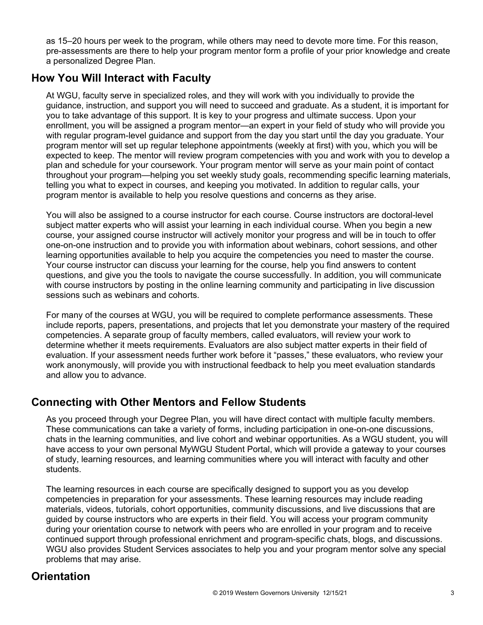as 15–20 hours per week to the program, while others may need to devote more time. For this reason, pre-assessments are there to help your program mentor form a profile of your prior knowledge and create a personalized Degree Plan.

## **How You Will Interact with Faculty**

At WGU, faculty serve in specialized roles, and they will work with you individually to provide the guidance, instruction, and support you will need to succeed and graduate. As a student, it is important for you to take advantage of this support. It is key to your progress and ultimate success. Upon your enrollment, you will be assigned a program mentor—an expert in your field of study who will provide you with regular program-level guidance and support from the day you start until the day you graduate. Your program mentor will set up regular telephone appointments (weekly at first) with you, which you will be expected to keep. The mentor will review program competencies with you and work with you to develop a plan and schedule for your coursework. Your program mentor will serve as your main point of contact throughout your program—helping you set weekly study goals, recommending specific learning materials, telling you what to expect in courses, and keeping you motivated. In addition to regular calls, your program mentor is available to help you resolve questions and concerns as they arise.

You will also be assigned to a course instructor for each course. Course instructors are doctoral-level subject matter experts who will assist your learning in each individual course. When you begin a new course, your assigned course instructor will actively monitor your progress and will be in touch to offer one-on-one instruction and to provide you with information about webinars, cohort sessions, and other learning opportunities available to help you acquire the competencies you need to master the course. Your course instructor can discuss your learning for the course, help you find answers to content questions, and give you the tools to navigate the course successfully. In addition, you will communicate with course instructors by posting in the online learning community and participating in live discussion sessions such as webinars and cohorts.

For many of the courses at WGU, you will be required to complete performance assessments. These include reports, papers, presentations, and projects that let you demonstrate your mastery of the required competencies. A separate group of faculty members, called evaluators, will review your work to determine whether it meets requirements. Evaluators are also subject matter experts in their field of evaluation. If your assessment needs further work before it "passes," these evaluators, who review your work anonymously, will provide you with instructional feedback to help you meet evaluation standards and allow you to advance.

## **Connecting with Other Mentors and Fellow Students**

As you proceed through your Degree Plan, you will have direct contact with multiple faculty members. These communications can take a variety of forms, including participation in one-on-one discussions, chats in the learning communities, and live cohort and webinar opportunities. As a WGU student, you will have access to your own personal MyWGU Student Portal, which will provide a gateway to your courses of study, learning resources, and learning communities where you will interact with faculty and other students.

The learning resources in each course are specifically designed to support you as you develop competencies in preparation for your assessments. These learning resources may include reading materials, videos, tutorials, cohort opportunities, community discussions, and live discussions that are guided by course instructors who are experts in their field. You will access your program community during your orientation course to network with peers who are enrolled in your program and to receive continued support through professional enrichment and program-specific chats, blogs, and discussions. WGU also provides Student Services associates to help you and your program mentor solve any special problems that may arise.

# **Orientation**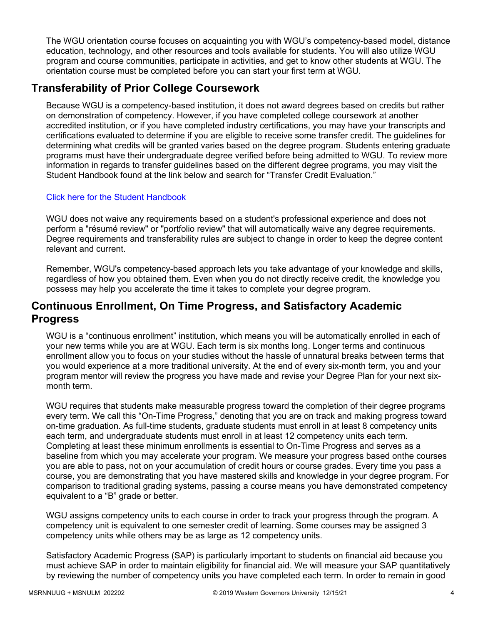The WGU orientation course focuses on acquainting you with WGU's competency-based model, distance education, technology, and other resources and tools available for students. You will also utilize WGU program and course communities, participate in activities, and get to know other students at WGU. The orientation course must be completed before you can start your first term at WGU.

# **Transferability of Prior College Coursework**

Because WGU is a competency-based institution, it does not award degrees based on credits but rather on demonstration of competency. However, if you have completed college coursework at another accredited institution, or if you have completed industry certifications, you may have your transcripts and certifications evaluated to determine if you are eligible to receive some transfer credit. The guidelines for determining what credits will be granted varies based on the degree program. Students entering graduate programs must have their undergraduate degree verified before being admitted to WGU. To review more information in regards to transfer guidelines based on the different degree programs, you may visit the Student Handbook found at the link below and search for "Transfer Credit Evaluation."

## [Click here for the Student Handbook](http://cm.wgu.edu/)

WGU does not waive any requirements based on a student's professional experience and does not perform a "résumé review" or "portfolio review" that will automatically waive any degree requirements. Degree requirements and transferability rules are subject to change in order to keep the degree content relevant and current.

Remember, WGU's competency-based approach lets you take advantage of your knowledge and skills, regardless of how you obtained them. Even when you do not directly receive credit, the knowledge you possess may help you accelerate the time it takes to complete your degree program.

## **Continuous Enrollment, On Time Progress, and Satisfactory Academic Progress**

WGU is a "continuous enrollment" institution, which means you will be automatically enrolled in each of your new terms while you are at WGU. Each term is six months long. Longer terms and continuous enrollment allow you to focus on your studies without the hassle of unnatural breaks between terms that you would experience at a more traditional university. At the end of every six-month term, you and your program mentor will review the progress you have made and revise your Degree Plan for your next sixmonth term.

WGU requires that students make measurable progress toward the completion of their degree programs every term. We call this "On-Time Progress," denoting that you are on track and making progress toward on-time graduation. As full-time students, graduate students must enroll in at least 8 competency units each term, and undergraduate students must enroll in at least 12 competency units each term. Completing at least these minimum enrollments is essential to On-Time Progress and serves as a baseline from which you may accelerate your program. We measure your progress based onthe courses you are able to pass, not on your accumulation of credit hours or course grades. Every time you pass a course, you are demonstrating that you have mastered skills and knowledge in your degree program. For comparison to traditional grading systems, passing a course means you have demonstrated competency equivalent to a "B" grade or better.

WGU assigns competency units to each course in order to track your progress through the program. A competency unit is equivalent to one semester credit of learning. Some courses may be assigned 3 competency units while others may be as large as 12 competency units.

Satisfactory Academic Progress (SAP) is particularly important to students on financial aid because you must achieve SAP in order to maintain eligibility for financial aid. We will measure your SAP quantitatively by reviewing the number of competency units you have completed each term. In order to remain in good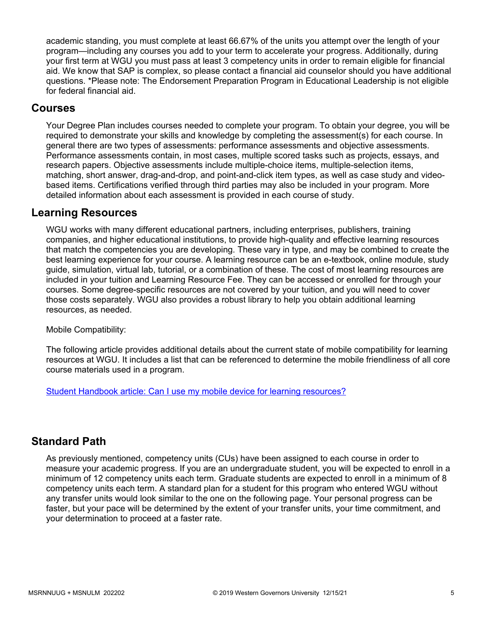academic standing, you must complete at least 66.67% of the units you attempt over the length of your program—including any courses you add to your term to accelerate your progress. Additionally, during your first term at WGU you must pass at least 3 competency units in order to remain eligible for financial aid. We know that SAP is complex, so please contact a financial aid counselor should you have additional questions. \*Please note: The Endorsement Preparation Program in Educational Leadership is not eligible for federal financial aid.

## **Courses**

Your Degree Plan includes courses needed to complete your program. To obtain your degree, you will be required to demonstrate your skills and knowledge by completing the assessment(s) for each course. In general there are two types of assessments: performance assessments and objective assessments. Performance assessments contain, in most cases, multiple scored tasks such as projects, essays, and research papers. Objective assessments include multiple-choice items, multiple-selection items, matching, short answer, drag-and-drop, and point-and-click item types, as well as case study and videobased items. Certifications verified through third parties may also be included in your program. More detailed information about each assessment is provided in each course of study.

## **Learning Resources**

WGU works with many different educational partners, including enterprises, publishers, training companies, and higher educational institutions, to provide high-quality and effective learning resources that match the competencies you are developing. These vary in type, and may be combined to create the best learning experience for your course. A learning resource can be an e-textbook, online module, study guide, simulation, virtual lab, tutorial, or a combination of these. The cost of most learning resources are included in your tuition and Learning Resource Fee. They can be accessed or enrolled for through your courses. Some degree-specific resources are not covered by your tuition, and you will need to cover those costs separately. WGU also provides a robust library to help you obtain additional learning resources, as needed.

Mobile Compatibility:

The following article provides additional details about the current state of mobile compatibility for learning resources at WGU. It includes a list that can be referenced to determine the mobile friendliness of all core course materials used in a program.

[Student Handbook article: Can I use my mobile device for learning resources?](https://cm.wgu.edu/t5/Frequently-Asked-Questions/Can-I-use-my-mobile-device-for-learning-resources/ta-p/396)

## **Standard Path**

As previously mentioned, competency units (CUs) have been assigned to each course in order to measure your academic progress. If you are an undergraduate student, you will be expected to enroll in a minimum of 12 competency units each term. Graduate students are expected to enroll in a minimum of 8 competency units each term. A standard plan for a student for this program who entered WGU without any transfer units would look similar to the one on the following page. Your personal progress can be faster, but your pace will be determined by the extent of your transfer units, your time commitment, and your determination to proceed at a faster rate.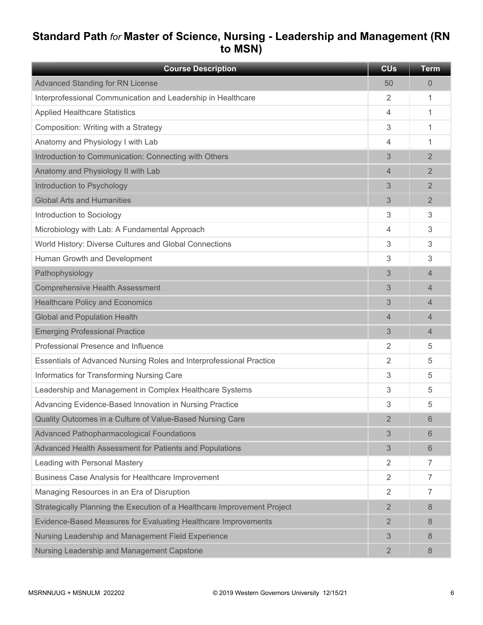# **Standard Path** *for* **Master of Science, Nursing - Leadership and Management (RN to MSN)**

| <b>Course Description</b>                                                | <b>CU<sub>s</sub></b> | <b>Term</b>    |
|--------------------------------------------------------------------------|-----------------------|----------------|
| <b>Advanced Standing for RN License</b>                                  | 50                    | 0              |
| Interprofessional Communication and Leadership in Healthcare             | 2                     | 1              |
| <b>Applied Healthcare Statistics</b>                                     | 4                     | 1              |
| Composition: Writing with a Strategy                                     | 3                     | 1              |
| Anatomy and Physiology I with Lab                                        | 4                     | 1              |
| Introduction to Communication: Connecting with Others                    | 3                     | $\overline{2}$ |
| Anatomy and Physiology II with Lab                                       | 4                     | $\overline{2}$ |
| Introduction to Psychology                                               | 3                     | $\overline{2}$ |
| <b>Global Arts and Humanities</b>                                        | 3                     | $\overline{2}$ |
| Introduction to Sociology                                                | 3                     | 3              |
| Microbiology with Lab: A Fundamental Approach                            | 4                     | 3              |
| World History: Diverse Cultures and Global Connections                   | 3                     | 3              |
| Human Growth and Development                                             | 3                     | 3              |
| Pathophysiology                                                          | 3                     | 4              |
| <b>Comprehensive Health Assessment</b>                                   | 3                     | 4              |
| <b>Healthcare Policy and Economics</b>                                   | 3                     | 4              |
| <b>Global and Population Health</b>                                      | $\overline{4}$        | 4              |
| <b>Emerging Professional Practice</b>                                    | 3                     | $\overline{4}$ |
| Professional Presence and Influence                                      | 2                     | 5              |
| Essentials of Advanced Nursing Roles and Interprofessional Practice      | 2                     | 5              |
| Informatics for Transforming Nursing Care                                | 3                     | 5              |
| Leadership and Management in Complex Healthcare Systems                  | 3                     | 5              |
| Advancing Evidence-Based Innovation in Nursing Practice                  | 3                     | 5              |
| Quality Outcomes in a Culture of Value-Based Nursing Care                | 2                     | 6              |
| <b>Advanced Pathopharmacological Foundations</b>                         | 3                     | 6              |
| Advanced Health Assessment for Patients and Populations                  | 3                     | 6              |
| Leading with Personal Mastery                                            | $\overline{2}$        | $\overline{7}$ |
| Business Case Analysis for Healthcare Improvement                        | $\overline{2}$        | $\overline{7}$ |
| Managing Resources in an Era of Disruption                               | 2                     | $\overline{7}$ |
| Strategically Planning the Execution of a Healthcare Improvement Project | $\overline{2}$        | 8              |
| Evidence-Based Measures for Evaluating Healthcare Improvements           | 2                     | 8              |
| Nursing Leadership and Management Field Experience                       | 3                     | 8              |
| Nursing Leadership and Management Capstone                               | $\overline{2}$        | 8              |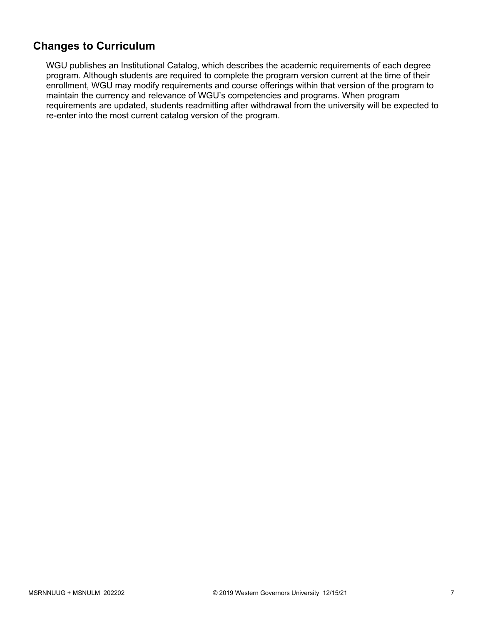## **Changes to Curriculum**

WGU publishes an Institutional Catalog, which describes the academic requirements of each degree program. Although students are required to complete the program version current at the time of their enrollment, WGU may modify requirements and course offerings within that version of the program to maintain the currency and relevance of WGU's competencies and programs. When program requirements are updated, students readmitting after withdrawal from the university will be expected to re-enter into the most current catalog version of the program.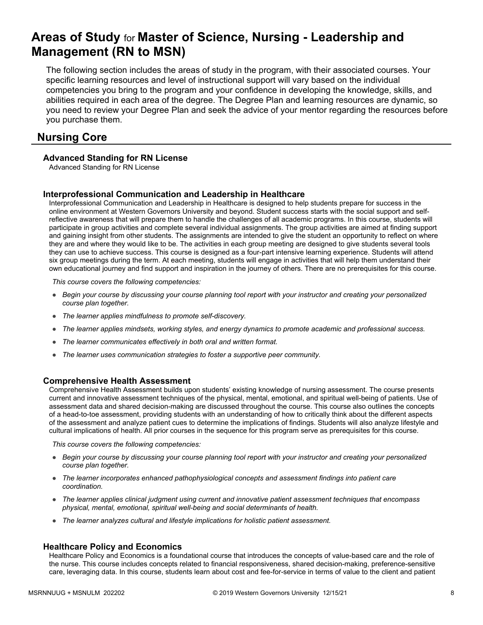# **Areas of Study** for **Master of Science, Nursing - Leadership and Management (RN to MSN)**

The following section includes the areas of study in the program, with their associated courses. Your specific learning resources and level of instructional support will vary based on the individual competencies you bring to the program and your confidence in developing the knowledge, skills, and abilities required in each area of the degree. The Degree Plan and learning resources are dynamic, so you need to review your Degree Plan and seek the advice of your mentor regarding the resources before you purchase them.

## **Nursing Core**

## **Advanced Standing for RN License**

Advanced Standing for RN License

## **Interprofessional Communication and Leadership in Healthcare**

Interprofessional Communication and Leadership in Healthcare is designed to help students prepare for success in the online environment at Western Governors University and beyond. Student success starts with the social support and selfreflective awareness that will prepare them to handle the challenges of all academic programs. In this course, students will participate in group activities and complete several individual assignments. The group activities are aimed at finding support and gaining insight from other students. The assignments are intended to give the student an opportunity to reflect on where they are and where they would like to be. The activities in each group meeting are designed to give students several tools they can use to achieve success. This course is designed as a four-part intensive learning experience. Students will attend six group meetings during the term. At each meeting, students will engage in activities that will help them understand their own educational journey and find support and inspiration in the journey of others. There are no prerequisites for this course.

*This course covers the following competencies:*

- *Begin your course by discussing your course planning tool report with your instructor and creating your personalized course plan together.*
- *The learner applies mindfulness to promote self-discovery.*
- *The learner applies mindsets, working styles, and energy dynamics to promote academic and professional success.*
- *The learner communicates effectively in both oral and written format.*
- *The learner uses communication strategies to foster a supportive peer community.*

### **Comprehensive Health Assessment**

Comprehensive Health Assessment builds upon students' existing knowledge of nursing assessment. The course presents current and innovative assessment techniques of the physical, mental, emotional, and spiritual well-being of patients. Use of assessment data and shared decision-making are discussed throughout the course. This course also outlines the concepts of a head-to-toe assessment, providing students with an understanding of how to critically think about the different aspects of the assessment and analyze patient cues to determine the implications of findings. Students will also analyze lifestyle and cultural implications of health. All prior courses in the sequence for this program serve as prerequisites for this course.

*This course covers the following competencies:*

- *Begin your course by discussing your course planning tool report with your instructor and creating your personalized course plan together.*
- *The learner incorporates enhanced pathophysiological concepts and assessment findings into patient care coordination.*
- *The learner applies clinical judgment using current and innovative patient assessment techniques that encompass physical, mental, emotional, spiritual well-being and social determinants of health.*
- *The learner analyzes cultural and lifestyle implications for holistic patient assessment.*

### **Healthcare Policy and Economics**

Healthcare Policy and Economics is a foundational course that introduces the concepts of value-based care and the role of the nurse. This course includes concepts related to financial responsiveness, shared decision-making, preference-sensitive care, leveraging data. In this course, students learn about cost and fee-for-service in terms of value to the client and patient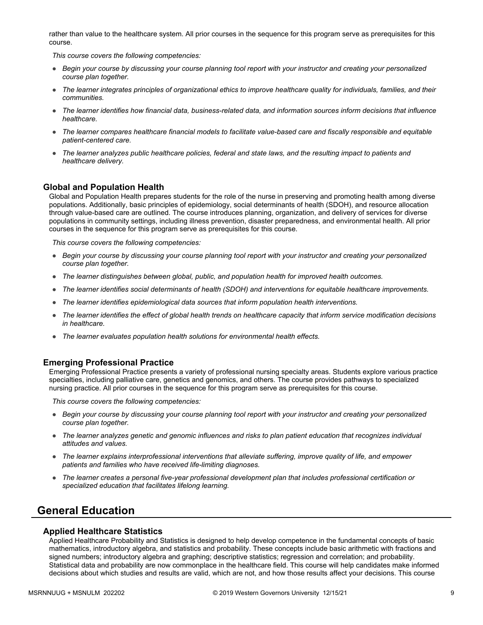rather than value to the healthcare system. All prior courses in the sequence for this program serve as prerequisites for this course.

*This course covers the following competencies:*

- *Begin your course by discussing your course planning tool report with your instructor and creating your personalized course plan together.*
- *The learner integrates principles of organizational ethics to improve healthcare quality for individuals, families, and their communities.*
- *The learner identifies how financial data, business-related data, and information sources inform decisions that influence healthcare.*
- *The learner compares healthcare financial models to facilitate value-based care and fiscally responsible and equitable patient-centered care.*
- *The learner analyzes public healthcare policies, federal and state laws, and the resulting impact to patients and healthcare delivery.*

### **Global and Population Health**

Global and Population Health prepares students for the role of the nurse in preserving and promoting health among diverse populations. Additionally, basic principles of epidemiology, social determinants of health (SDOH), and resource allocation through value-based care are outlined. The course introduces planning, organization, and delivery of services for diverse populations in community settings, including illness prevention, disaster preparedness, and environmental health. All prior courses in the sequence for this program serve as prerequisites for this course.

*This course covers the following competencies:*

- *Begin your course by discussing your course planning tool report with your instructor and creating your personalized course plan together.*
- *The learner distinguishes between global, public, and population health for improved health outcomes.*
- *The learner identifies social determinants of health (SDOH) and interventions for equitable healthcare improvements.*
- *The learner identifies epidemiological data sources that inform population health interventions.*
- *The learner identifies the effect of global health trends on healthcare capacity that inform service modification decisions in healthcare.*
- *The learner evaluates population health solutions for environmental health effects.*

#### **Emerging Professional Practice**

Emerging Professional Practice presents a variety of professional nursing specialty areas. Students explore various practice specialties, including palliative care, genetics and genomics, and others. The course provides pathways to specialized nursing practice. All prior courses in the sequence for this program serve as prerequisites for this course.

*This course covers the following competencies:*

- *Begin your course by discussing your course planning tool report with your instructor and creating your personalized course plan together.*
- *The learner analyzes genetic and genomic influences and risks to plan patient education that recognizes individual attitudes and values.*
- *The learner explains interprofessional interventions that alleviate suffering, improve quality of life, and empower patients and families who have received life-limiting diagnoses.*
- *The learner creates a personal five-year professional development plan that includes professional certification or specialized education that facilitates lifelong learning.*

## **General Education**

#### **Applied Healthcare Statistics**

Applied Healthcare Probability and Statistics is designed to help develop competence in the fundamental concepts of basic mathematics, introductory algebra, and statistics and probability. These concepts include basic arithmetic with fractions and signed numbers; introductory algebra and graphing; descriptive statistics; regression and correlation; and probability. Statistical data and probability are now commonplace in the healthcare field. This course will help candidates make informed decisions about which studies and results are valid, which are not, and how those results affect your decisions. This course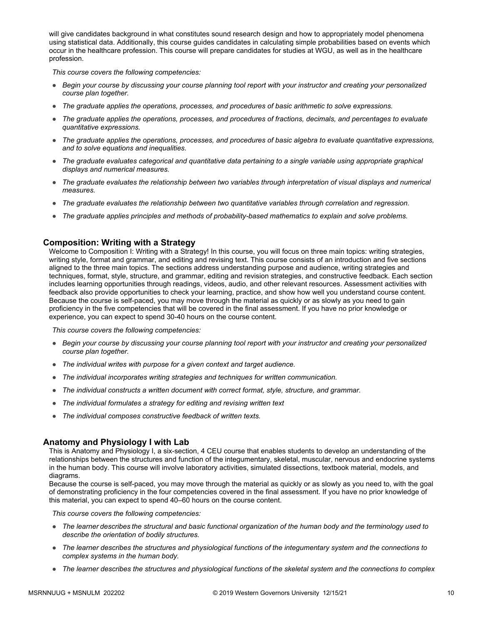will give candidates background in what constitutes sound research design and how to appropriately model phenomena using statistical data. Additionally, this course guides candidates in calculating simple probabilities based on events which occur in the healthcare profession. This course will prepare candidates for studies at WGU, as well as in the healthcare profession.

*This course covers the following competencies:*

- *Begin your course by discussing your course planning tool report with your instructor and creating your personalized course plan together.*
- *The graduate applies the operations, processes, and procedures of basic arithmetic to solve expressions.*
- *The graduate applies the operations, processes, and procedures of fractions, decimals, and percentages to evaluate quantitative expressions.*
- *The graduate applies the operations, processes, and procedures of basic algebra to evaluate quantitative expressions, and to solve equations and inequalities.*
- *The graduate evaluates categorical and quantitative data pertaining to a single variable using appropriate graphical displays and numerical measures.*
- *The graduate evaluates the relationship between two variables through interpretation of visual displays and numerical measures.*
- *The graduate evaluates the relationship between two quantitative variables through correlation and regression.*
- *The graduate applies principles and methods of probability-based mathematics to explain and solve problems.*

## **Composition: Writing with a Strategy**

Welcome to Composition I: Writing with a Strategy! In this course, you will focus on three main topics: writing strategies, writing style, format and grammar, and editing and revising text. This course consists of an introduction and five sections aligned to the three main topics. The sections address understanding purpose and audience, writing strategies and techniques, format, style, structure, and grammar, editing and revision strategies, and constructive feedback. Each section includes learning opportunities through readings, videos, audio, and other relevant resources. Assessment activities with feedback also provide opportunities to check your learning, practice, and show how well you understand course content. Because the course is self-paced, you may move through the material as quickly or as slowly as you need to gain proficiency in the five competencies that will be covered in the final assessment. If you have no prior knowledge or experience, you can expect to spend 30-40 hours on the course content.

*This course covers the following competencies:*

- *Begin your course by discussing your course planning tool report with your instructor and creating your personalized course plan together.*
- *The individual writes with purpose for a given context and target audience.*
- *The individual incorporates writing strategies and techniques for written communication.*
- *The individual constructs a written document with correct format, style, structure, and grammar.*
- *The individual formulates a strategy for editing and revising written text*
- *The individual composes constructive feedback of written texts.*

## **Anatomy and Physiology I with Lab**

This is Anatomy and Physiology I, a six-section, 4 CEU course that enables students to develop an understanding of the relationships between the structures and function of the integumentary, skeletal, muscular, nervous and endocrine systems in the human body. This course will involve laboratory activities, simulated dissections, textbook material, models, and diagrams.

Because the course is self-paced, you may move through the material as quickly or as slowly as you need to, with the goal of demonstrating proficiency in the four competencies covered in the final assessment. If you have no prior knowledge of this material, you can expect to spend 40–60 hours on the course content.

- *The learner describes the structural and basic functional organization of the human body and the terminology used to describe the orientation of bodily structures.*
- *The learner describes the structures and physiological functions of the integumentary system and the connections to complex systems in the human body.*
- *The learner describes the structures and physiological functions of the skeletal system and the connections to complex*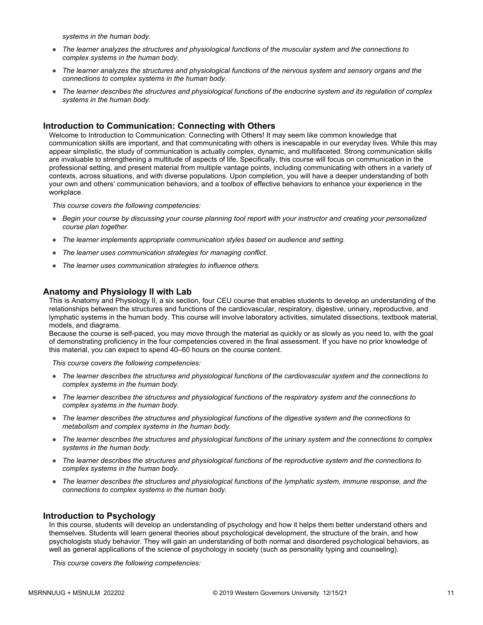*systems in the human body.*

- *The learner analyzes the structures and physiological functions of the muscular system and the connections to complex systems in the human body.*
- *The learner analyzes the structures and physiological functions of the nervous system and sensory organs and the connections to complex systems in the human body.*
- *The learner describes the structures and physiological functions of the endocrine system and its regulation of complex systems in the human body.*

### **Introduction to Communication: Connecting with Others**

Welcome to Introduction to Communication: Connecting with Others! It may seem like common knowledge that communication skills are important, and that communicating with others is inescapable in our everyday lives. While this may appear simplistic, the study of communication is actually complex, dynamic, and multifaceted. Strong communication skills are invaluable to strengthening a multitude of aspects of life. Specifically, this course will focus on communication in the professional setting, and present material from multiple vantage points, including communicating with others in a variety of contexts, across situations, and with diverse populations. Upon completion, you will have a deeper understanding of both your own and others' communication behaviors, and a toolbox of effective behaviors to enhance your experience in the workplace.

*This course covers the following competencies:*

- *Begin your course by discussing your course planning tool report with your instructor and creating your personalized course plan together.*
- *The learner implements appropriate communication styles based on audience and setting.*
- *The learner uses communication strategies for managing conflict.*
- *The learner uses communication strategies to influence others.*

#### **Anatomy and Physiology II with Lab**

This is Anatomy and Physiology II, a six section, four CEU course that enables students to develop an understanding of the relationships between the structures and functions of the cardiovascular, respiratory, digestive, urinary, reproductive, and lymphatic systems in the human body. This course will involve laboratory activities, simulated dissections, textbook material, models, and diagrams.

Because the course is self-paced, you may move through the material as quickly or as slowly as you need to, with the goal of demonstrating proficiency in the four competencies covered in the final assessment. If you have no prior knowledge of this material, you can expect to spend 40–60 hours on the course content.

*This course covers the following competencies:*

- *The learner describes the structures and physiological functions of the cardiovascular system and the connections to complex systems in the human body.*
- *The learner describes the structures and physiological functions of the respiratory system and the connections to complex systems in the human body.*
- *The learner describes the structures and physiological functions of the digestive system and the connections to metabolism and complex systems in the human body.*
- *The learner describes the structures and physiological functions of the urinary system and the connections to complex systems in the human body.*
- *The learner describes the structures and physiological functions of the reproductive system and the connections to complex systems in the human body.*
- *The learner describes the structures and physiological functions of the lymphatic system, immune response, and the connections to complex systems in the human body.*

#### **Introduction to Psychology**

In this course, students will develop an understanding of psychology and how it helps them better understand others and themselves. Students will learn general theories about psychological development, the structure of the brain, and how psychologists study behavior. They will gain an understanding of both normal and disordered psychological behaviors, as well as general applications of the science of psychology in society (such as personality typing and counseling).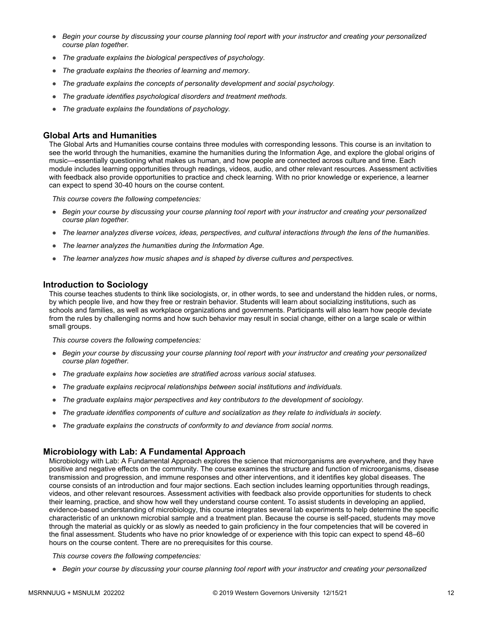- *Begin your course by discussing your course planning tool report with your instructor and creating your personalized course plan together.*
- *The graduate explains the biological perspectives of psychology.*
- *The graduate explains the theories of learning and memory.*
- *The graduate explains the concepts of personality development and social psychology.*
- *The graduate identifies psychological disorders and treatment methods.*
- *The graduate explains the foundations of psychology.*

#### **Global Arts and Humanities**

The Global Arts and Humanities course contains three modules with corresponding lessons. This course is an invitation to see the world through the humanities, examine the humanities during the Information Age, and explore the global origins of music—essentially questioning what makes us human, and how people are connected across culture and time. Each module includes learning opportunities through readings, videos, audio, and other relevant resources. Assessment activities with feedback also provide opportunities to practice and check learning. With no prior knowledge or experience, a learner can expect to spend 30-40 hours on the course content.

*This course covers the following competencies:*

- *Begin your course by discussing your course planning tool report with your instructor and creating your personalized course plan together.*
- *The learner analyzes diverse voices, ideas, perspectives, and cultural interactions through the lens of the humanities.*
- *The learner analyzes the humanities during the Information Age.*
- *The learner analyzes how music shapes and is shaped by diverse cultures and perspectives.*

#### **Introduction to Sociology**

This course teaches students to think like sociologists, or, in other words, to see and understand the hidden rules, or norms, by which people live, and how they free or restrain behavior. Students will learn about socializing institutions, such as schools and families, as well as workplace organizations and governments. Participants will also learn how people deviate from the rules by challenging norms and how such behavior may result in social change, either on a large scale or within small groups.

*This course covers the following competencies:*

- *Begin your course by discussing your course planning tool report with your instructor and creating your personalized course plan together.*
- *The graduate explains how societies are stratified across various social statuses.*
- *The graduate explains reciprocal relationships between social institutions and individuals.*
- *The graduate explains major perspectives and key contributors to the development of sociology.*
- *The graduate identifies components of culture and socialization as they relate to individuals in society.*
- *The graduate explains the constructs of conformity to and deviance from social norms.*

### **Microbiology with Lab: A Fundamental Approach**

Microbiology with Lab: A Fundamental Approach explores the science that microorganisms are everywhere, and they have positive and negative effects on the community. The course examines the structure and function of microorganisms, disease transmission and progression, and immune responses and other interventions, and it identifies key global diseases. The course consists of an introduction and four major sections. Each section includes learning opportunities through readings, videos, and other relevant resources. Assessment activities with feedback also provide opportunities for students to check their learning, practice, and show how well they understand course content. To assist students in developing an applied, evidence-based understanding of microbiology, this course integrates several lab experiments to help determine the specific characteristic of an unknown microbial sample and a treatment plan. Because the course is self-paced, students may move through the material as quickly or as slowly as needed to gain proficiency in the four competencies that will be covered in the final assessment. Students who have no prior knowledge of or experience with this topic can expect to spend 48–60 hours on the course content. There are no prerequisites for this course.

*This course covers the following competencies:*

● *Begin your course by discussing your course planning tool report with your instructor and creating your personalized*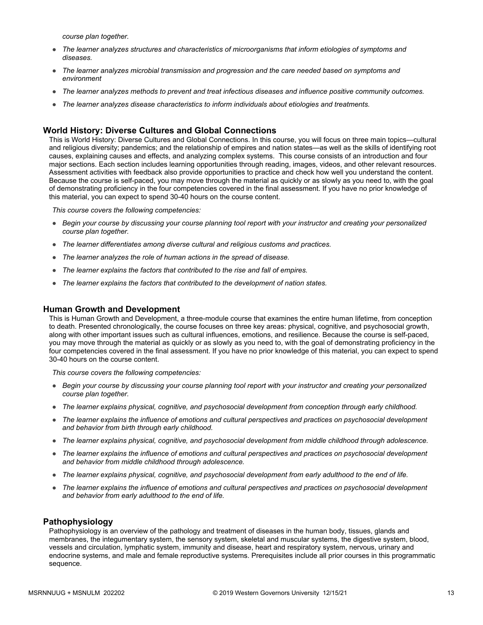*course plan together.*

- *The learner analyzes structures and characteristics of microorganisms that inform etiologies of symptoms and diseases.*
- *The learner analyzes microbial transmission and progression and the care needed based on symptoms and environment*
- *The learner analyzes methods to prevent and treat infectious diseases and influence positive community outcomes.*
- *The learner analyzes disease characteristics to inform individuals about etiologies and treatments.*

#### **World History: Diverse Cultures and Global Connections**

This is World History: Diverse Cultures and Global Connections. In this course, you will focus on three main topics—cultural and religious diversity; pandemics; and the relationship of empires and nation states—as well as the skills of identifying root causes, explaining causes and effects, and analyzing complex systems. This course consists of an introduction and four major sections. Each section includes learning opportunities through reading, images, videos, and other relevant resources. Assessment activities with feedback also provide opportunities to practice and check how well you understand the content. Because the course is self-paced, you may move through the material as quickly or as slowly as you need to, with the goal of demonstrating proficiency in the four competencies covered in the final assessment. If you have no prior knowledge of this material, you can expect to spend 30-40 hours on the course content.

*This course covers the following competencies:*

- *Begin your course by discussing your course planning tool report with your instructor and creating your personalized course plan together.*
- *The learner differentiates among diverse cultural and religious customs and practices.*
- *The learner analyzes the role of human actions in the spread of disease.*
- *The learner explains the factors that contributed to the rise and fall of empires.*
- *The learner explains the factors that contributed to the development of nation states.*

#### **Human Growth and Development**

This is Human Growth and Development, a three-module course that examines the entire human lifetime, from conception to death. Presented chronologically, the course focuses on three key areas: physical, cognitive, and psychosocial growth, along with other important issues such as cultural influences, emotions, and resilience. Because the course is self-paced, you may move through the material as quickly or as slowly as you need to, with the goal of demonstrating proficiency in the four competencies covered in the final assessment. If you have no prior knowledge of this material, you can expect to spend 30-40 hours on the course content.

*This course covers the following competencies:*

- *Begin your course by discussing your course planning tool report with your instructor and creating your personalized course plan together.*
- *The learner explains physical, cognitive, and psychosocial development from conception through early childhood.*
- *The learner explains the influence of emotions and cultural perspectives and practices on psychosocial development and behavior from birth through early childhood.*
- *The learner explains physical, cognitive, and psychosocial development from middle childhood through adolescence.*
- *The learner explains the influence of emotions and cultural perspectives and practices on psychosocial development and behavior from middle childhood through adolescence.*
- *The learner explains physical, cognitive, and psychosocial development from early adulthood to the end of life.*
- *The learner explains the influence of emotions and cultural perspectives and practices on psychosocial development and behavior from early adulthood to the end of life.*

#### **Pathophysiology**

Pathophysiology is an overview of the pathology and treatment of diseases in the human body, tissues, glands and membranes, the integumentary system, the sensory system, skeletal and muscular systems, the digestive system, blood, vessels and circulation, lymphatic system, immunity and disease, heart and respiratory system, nervous, urinary and endocrine systems, and male and female reproductive systems. Prerequisites include all prior courses in this programmatic sequence.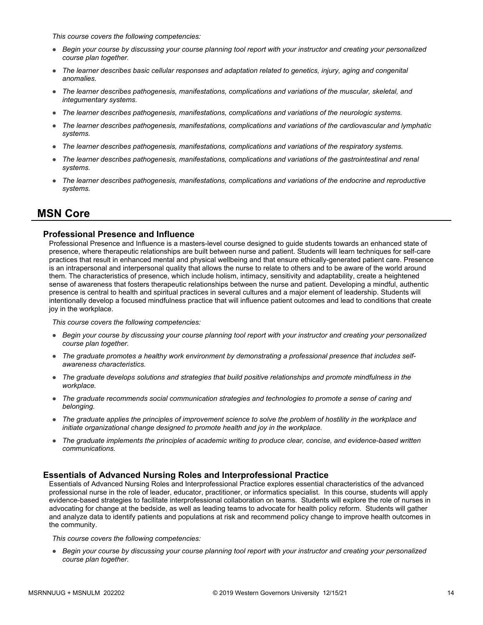*This course covers the following competencies:*

- *Begin your course by discussing your course planning tool report with your instructor and creating your personalized course plan together.*
- *The learner describes basic cellular responses and adaptation related to genetics, injury, aging and congenital anomalies.*
- *The learner describes pathogenesis, manifestations, complications and variations of the muscular, skeletal, and integumentary systems.*
- *The learner describes pathogenesis, manifestations, complications and variations of the neurologic systems.*
- *The learner describes pathogenesis, manifestations, complications and variations of the cardiovascular and lymphatic systems.*
- *The learner describes pathogenesis, manifestations, complications and variations of the respiratory systems.*
- *The learner describes pathogenesis, manifestations, complications and variations of the gastrointestinal and renal systems.*
- *The learner describes pathogenesis, manifestations, complications and variations of the endocrine and reproductive systems.*

## **MSN Core**

## **Professional Presence and Influence**

Professional Presence and Influence is a masters-level course designed to guide students towards an enhanced state of presence, where therapeutic relationships are built between nurse and patient. Students will learn techniques for self-care practices that result in enhanced mental and physical wellbeing and that ensure ethically-generated patient care. Presence is an intrapersonal and interpersonal quality that allows the nurse to relate to others and to be aware of the world around them. The characteristics of presence, which include holism, intimacy, sensitivity and adaptability, create a heightened sense of awareness that fosters therapeutic relationships between the nurse and patient. Developing a mindful, authentic presence is central to health and spiritual practices in several cultures and a major element of leadership. Students will intentionally develop a focused mindfulness practice that will influence patient outcomes and lead to conditions that create joy in the workplace.

*This course covers the following competencies:*

- *Begin your course by discussing your course planning tool report with your instructor and creating your personalized course plan together.*
- *The graduate promotes a healthy work environment by demonstrating a professional presence that includes selfawareness characteristics.*
- *The graduate develops solutions and strategies that build positive relationships and promote mindfulness in the workplace.*
- *The graduate recommends social communication strategies and technologies to promote a sense of caring and belonging.*
- *The graduate applies the principles of improvement science to solve the problem of hostility in the workplace and initiate organizational change designed to promote health and joy in the workplace.*
- *The graduate implements the principles of academic writing to produce clear, concise, and evidence-based written communications.*

### **Essentials of Advanced Nursing Roles and Interprofessional Practice**

Essentials of Advanced Nursing Roles and Interprofessional Practice explores essential characteristics of the advanced professional nurse in the role of leader, educator, practitioner, or informatics specialist. In this course, students will apply evidence-based strategies to facilitate interprofessional collaboration on teams. Students will explore the role of nurses in advocating for change at the bedside, as well as leading teams to advocate for health policy reform. Students will gather and analyze data to identify patients and populations at risk and recommend policy change to improve health outcomes in the community.

*This course covers the following competencies:*

● *Begin your course by discussing your course planning tool report with your instructor and creating your personalized course plan together.*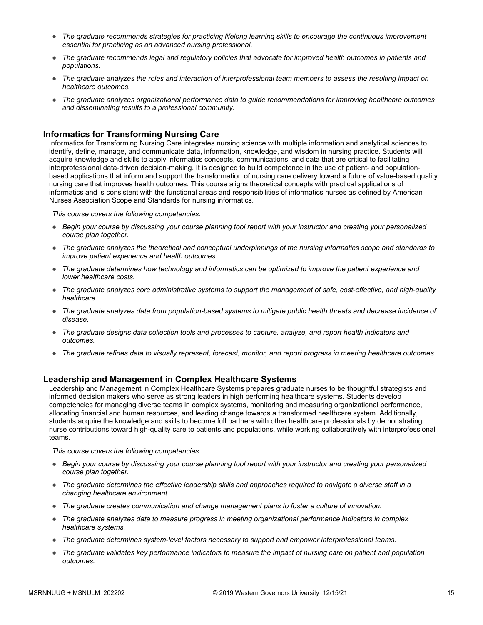- *The graduate recommends strategies for practicing lifelong learning skills to encourage the continuous improvement essential for practicing as an advanced nursing professional.*
- *The graduate recommends legal and regulatory policies that advocate for improved health outcomes in patients and populations.*
- *The graduate analyzes the roles and interaction of interprofessional team members to assess the resulting impact on healthcare outcomes.*
- *The graduate analyzes organizational performance data to guide recommendations for improving healthcare outcomes and disseminating results to a professional community.*

### **Informatics for Transforming Nursing Care**

Informatics for Transforming Nursing Care integrates nursing science with multiple information and analytical sciences to identify, define, manage, and communicate data, information, knowledge, and wisdom in nursing practice. Students will acquire knowledge and skills to apply informatics concepts, communications, and data that are critical to facilitating interprofessional data-driven decision-making. It is designed to build competence in the use of patient- and populationbased applications that inform and support the transformation of nursing care delivery toward a future of value-based quality nursing care that improves health outcomes. This course aligns theoretical concepts with practical applications of informatics and is consistent with the functional areas and responsibilities of informatics nurses as defined by American Nurses Association Scope and Standards for nursing informatics.

*This course covers the following competencies:*

- *Begin your course by discussing your course planning tool report with your instructor and creating your personalized course plan together.*
- *The graduate analyzes the theoretical and conceptual underpinnings of the nursing informatics scope and standards to improve patient experience and health outcomes.*
- *The graduate determines how technology and informatics can be optimized to improve the patient experience and lower healthcare costs.*
- *The graduate analyzes core administrative systems to support the management of safe, cost-effective, and high-quality healthcare.*
- *The graduate analyzes data from population-based systems to mitigate public health threats and decrease incidence of disease.*
- *The graduate designs data collection tools and processes to capture, analyze, and report health indicators and outcomes.*
- *The graduate refines data to visually represent, forecast, monitor, and report progress in meeting healthcare outcomes.*

### **Leadership and Management in Complex Healthcare Systems**

Leadership and Management in Complex Healthcare Systems prepares graduate nurses to be thoughtful strategists and informed decision makers who serve as strong leaders in high performing healthcare systems. Students develop competencies for managing diverse teams in complex systems, monitoring and measuring organizational performance, allocating financial and human resources, and leading change towards a transformed healthcare system. Additionally, students acquire the knowledge and skills to become full partners with other healthcare professionals by demonstrating nurse contributions toward high-quality care to patients and populations, while working collaboratively with interprofessional teams.

- *Begin your course by discussing your course planning tool report with your instructor and creating your personalized course plan together.*
- *The graduate determines the effective leadership skills and approaches required to navigate a diverse staff in a changing healthcare environment.*
- *The graduate creates communication and change management plans to foster a culture of innovation.*
- *The graduate analyzes data to measure progress in meeting organizational performance indicators in complex healthcare systems.*
- *The graduate determines system-level factors necessary to support and empower interprofessional teams.*
- *The graduate validates key performance indicators to measure the impact of nursing care on patient and population outcomes.*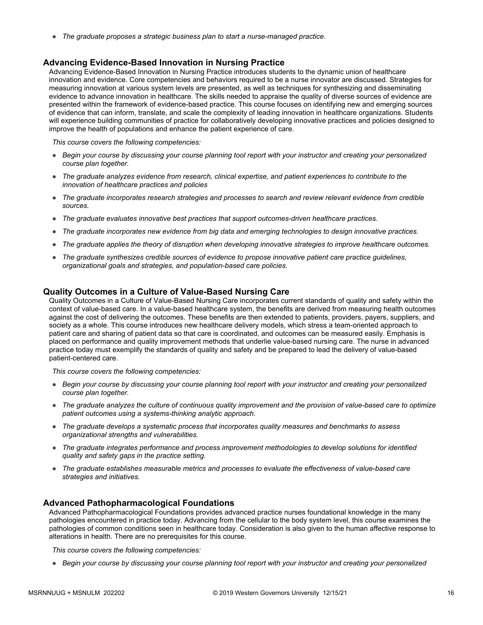● *The graduate proposes a strategic business plan to start a nurse-managed practice.*

#### **Advancing Evidence-Based Innovation in Nursing Practice**

Advancing Evidence-Based Innovation in Nursing Practice introduces students to the dynamic union of healthcare innovation and evidence. Core competencies and behaviors required to be a nurse innovator are discussed. Strategies for measuring innovation at various system levels are presented, as well as techniques for synthesizing and disseminating evidence to advance innovation in healthcare. The skills needed to appraise the quality of diverse sources of evidence are presented within the framework of evidence-based practice. This course focuses on identifying new and emerging sources of evidence that can inform, translate, and scale the complexity of leading innovation in healthcare organizations. Students will experience building communities of practice for collaboratively developing innovative practices and policies designed to improve the health of populations and enhance the patient experience of care.

*This course covers the following competencies:*

- *Begin your course by discussing your course planning tool report with your instructor and creating your personalized course plan together.*
- *The graduate analyzes evidence from research, clinical expertise, and patient experiences to contribute to the innovation of healthcare practices and policies*
- *The graduate incorporates research strategies and processes to search and review relevant evidence from credible sources.*
- *The graduate evaluates innovative best practices that support outcomes-driven healthcare practices.*
- *The graduate incorporates new evidence from big data and emerging technologies to design innovative practices.*
- *The graduate applies the theory of disruption when developing innovative strategies to improve healthcare outcomes.*
- *The graduate synthesizes credible sources of evidence to propose innovative patient care practice guidelines, organizational goals and strategies, and population-based care policies.*

#### **Quality Outcomes in a Culture of Value-Based Nursing Care**

Quality Outcomes in a Culture of Value-Based Nursing Care incorporates current standards of quality and safety within the context of value-based care. In a value-based healthcare system, the benefits are derived from measuring health outcomes against the cost of delivering the outcomes. These benefits are then extended to patients, providers, payers, suppliers, and society as a whole. This course introduces new healthcare delivery models, which stress a team-oriented approach to patient care and sharing of patient data so that care is coordinated, and outcomes can be measured easily. Emphasis is placed on performance and quality improvement methods that underlie value-based nursing care. The nurse in advanced practice today must exemplify the standards of quality and safety and be prepared to lead the delivery of value-based patient-centered care.

*This course covers the following competencies:*

- *Begin your course by discussing your course planning tool report with your instructor and creating your personalized course plan together.*
- *The graduate analyzes the culture of continuous quality improvement and the provision of value-based care to optimize patient outcomes using a systems-thinking analytic approach.*
- *The graduate develops a systematic process that incorporates quality measures and benchmarks to assess organizational strengths and vulnerabilities.*
- *The graduate integrates performance and process improvement methodologies to develop solutions for identified quality and safety gaps in the practice setting.*
- *The graduate establishes measurable metrics and processes to evaluate the effectiveness of value-based care strategies and initiatives.*

#### **Advanced Pathopharmacological Foundations**

Advanced Pathopharmacological Foundations provides advanced practice nurses foundational knowledge in the many pathologies encountered in practice today. Advancing from the cellular to the body system level, this course examines the pathologies of common conditions seen in healthcare today. Consideration is also given to the human affective response to alterations in health. There are no prerequisites for this course.

*This course covers the following competencies:*

● *Begin your course by discussing your course planning tool report with your instructor and creating your personalized*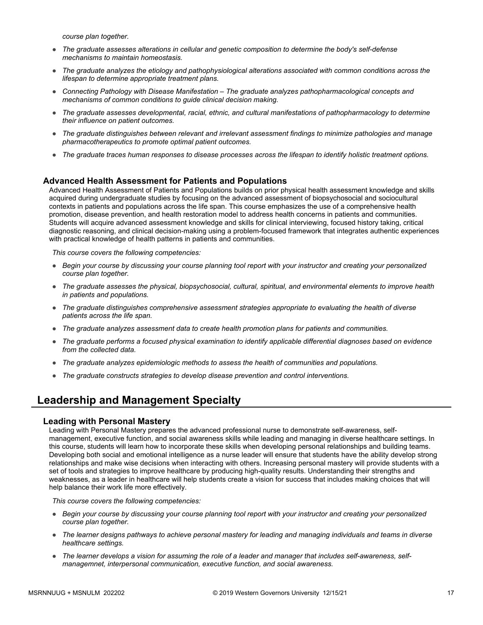*course plan together.*

- *The graduate assesses alterations in cellular and genetic composition to determine the body's self-defense mechanisms to maintain homeostasis.*
- *The graduate analyzes the etiology and pathophysiological alterations associated with common conditions across the lifespan to determine appropriate treatment plans.*
- *Connecting Pathology with Disease Manifestation The graduate analyzes pathopharmacological concepts and mechanisms of common conditions to guide clinical decision making.*
- *The graduate assesses developmental, racial, ethnic, and cultural manifestations of pathopharmacology to determine their influence on patient outcomes.*
- *The graduate distinguishes between relevant and irrelevant assessment findings to minimize pathologies and manage pharmacotherapeutics to promote optimal patient outcomes.*
- *The graduate traces human responses to disease processes across the lifespan to identify holistic treatment options.*

#### **Advanced Health Assessment for Patients and Populations**

Advanced Health Assessment of Patients and Populations builds on prior physical health assessment knowledge and skills acquired during undergraduate studies by focusing on the advanced assessment of biopsychosocial and sociocultural contexts in patients and populations across the life span. This course emphasizes the use of a comprehensive health promotion, disease prevention, and health restoration model to address health concerns in patients and communities. Students will acquire advanced assessment knowledge and skills for clinical interviewing, focused history taking, critical diagnostic reasoning, and clinical decision-making using a problem-focused framework that integrates authentic experiences with practical knowledge of health patterns in patients and communities.

*This course covers the following competencies:*

- *Begin your course by discussing your course planning tool report with your instructor and creating your personalized course plan together.*
- *The graduate assesses the physical, biopsychosocial, cultural, spiritual, and environmental elements to improve health in patients and populations.*
- *The graduate distinguishes comprehensive assessment strategies appropriate to evaluating the health of diverse patients across the life span.*
- *The graduate analyzes assessment data to create health promotion plans for patients and communities.*
- *The graduate performs a focused physical examination to identify applicable differential diagnoses based on evidence from the collected data.*
- *The graduate analyzes epidemiologic methods to assess the health of communities and populations.*
- *The graduate constructs strategies to develop disease prevention and control interventions.*

## **Leadership and Management Specialty**

#### **Leading with Personal Mastery**

Leading with Personal Mastery prepares the advanced professional nurse to demonstrate self-awareness, selfmanagement, executive function, and social awareness skills while leading and managing in diverse healthcare settings. In this course, students will learn how to incorporate these skills when developing personal relationships and building teams. Developing both social and emotional intelligence as a nurse leader will ensure that students have the ability develop strong relationships and make wise decisions when interacting with others. Increasing personal mastery will provide students with a set of tools and strategies to improve healthcare by producing high-quality results. Understanding their strengths and weaknesses, as a leader in healthcare will help students create a vision for success that includes making choices that will help balance their work life more effectively.

- *Begin your course by discussing your course planning tool report with your instructor and creating your personalized course plan together.*
- *The learner designs pathways to achieve personal mastery for leading and managing individuals and teams in diverse healthcare settings.*
- The learner develops a vision for assuming the role of a leader and manager that includes self-awareness, self*managemnet, interpersonal communication, executive function, and social awareness.*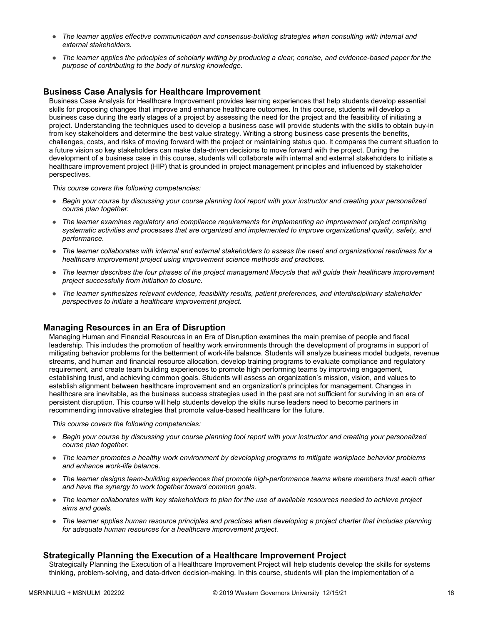- *The learner applies effective communication and consensus-building strategies when consulting with internal and external stakeholders.*
- *The learner applies the principles of scholarly writing by producing a clear, concise, and evidence-based paper for the purpose of contributing to the body of nursing knowledge.*

## **Business Case Analysis for Healthcare Improvement**

Business Case Analysis for Healthcare Improvement provides learning experiences that help students develop essential skills for proposing changes that improve and enhance healthcare outcomes. In this course, students will develop a business case during the early stages of a project by assessing the need for the project and the feasibility of initiating a project. Understanding the techniques used to develop a business case will provide students with the skills to obtain buy-in from key stakeholders and determine the best value strategy. Writing a strong business case presents the benefits, challenges, costs, and risks of moving forward with the project or maintaining status quo. It compares the current situation to a future vision so key stakeholders can make data-driven decisions to move forward with the project. During the development of a business case in this course, students will collaborate with internal and external stakeholders to initiate a healthcare improvement project (HIP) that is grounded in project management principles and influenced by stakeholder perspectives.

*This course covers the following competencies:*

- *Begin your course by discussing your course planning tool report with your instructor and creating your personalized course plan together.*
- *The learner examines regulatory and compliance requirements for implementing an improvement project comprising systematic activities and processes that are organized and implemented to improve organizational quality, safety, and performance.*
- *The learner collaborates with internal and external stakeholders to assess the need and organizational readiness for a healthcare improvement project using improvement science methods and practices.*
- *The learner describes the four phases of the project management lifecycle that will guide their healthcare improvement project successfully from initiation to closure.*
- *The learner synthesizes relevant evidence, feasibility results, patient preferences, and interdisciplinary stakeholder perspectives to initiate a healthcare improvement project.*

### **Managing Resources in an Era of Disruption**

Managing Human and Financial Resources in an Era of Disruption examines the main premise of people and fiscal leadership. This includes the promotion of healthy work environments through the development of programs in support of mitigating behavior problems for the betterment of work-life balance. Students will analyze business model budgets, revenue streams, and human and financial resource allocation, develop training programs to evaluate compliance and regulatory requirement, and create team building experiences to promote high performing teams by improving engagement, establishing trust, and achieving common goals. Students will assess an organization's mission, vision, and values to establish alignment between healthcare improvement and an organization's principles for management. Changes in healthcare are inevitable, as the business success strategies used in the past are not sufficient for surviving in an era of persistent disruption. This course will help students develop the skills nurse leaders need to become partners in recommending innovative strategies that promote value-based healthcare for the future.

*This course covers the following competencies:*

- *Begin your course by discussing your course planning tool report with your instructor and creating your personalized course plan together.*
- *The learner promotes a healthy work environment by developing programs to mitigate workplace behavior problems and enhance work-life balance.*
- *The learner designs team-building experiences that promote high-performance teams where members trust each other and have the synergy to work together toward common goals.*
- *The learner collaborates with key stakeholders to plan for the use of available resources needed to achieve project aims and goals.*
- *The learner applies human resource principles and practices when developing a project charter that includes planning for adequate human resources for a healthcare improvement project.*

## **Strategically Planning the Execution of a Healthcare Improvement Project**

Strategically Planning the Execution of a Healthcare Improvement Project will help students develop the skills for systems thinking, problem-solving, and data-driven decision-making. In this course, students will plan the implementation of a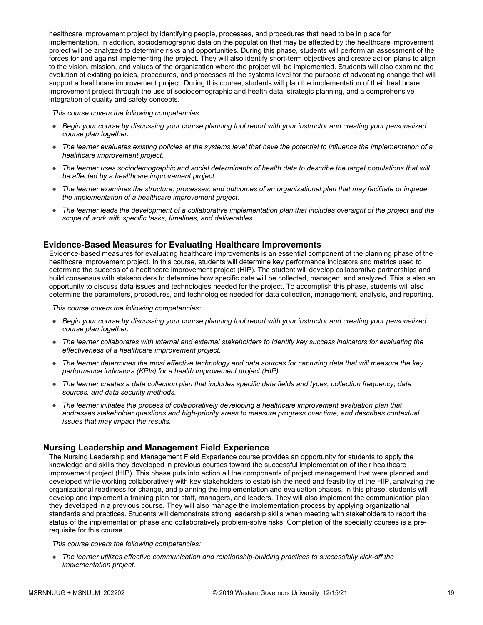healthcare improvement project by identifying people, processes, and procedures that need to be in place for implementation. In addition, sociodemographic data on the population that may be affected by the healthcare improvement project will be analyzed to determine risks and opportunities. During this phase, students will perform an assessment of the forces for and against implementing the project. They will also identify short-term objectives and create action plans to align to the vision, mission, and values of the organization where the project will be implemented. Students will also examine the evolution of existing policies, procedures, and processes at the systems level for the purpose of advocating change that will support a healthcare improvement project. During this course, students will plan the implementation of their healthcare improvement project through the use of sociodemographic and health data, strategic planning, and a comprehensive integration of quality and safety concepts.

*This course covers the following competencies:*

- *Begin your course by discussing your course planning tool report with your instructor and creating your personalized course plan together.*
- *The learner evaluates existing policies at the systems level that have the potential to influence the implementation of a healthcare improvement project.*
- *The learner uses sociodemographic and social determinants of health data to describe the target populations that will be affected by a healthcare improvement project.*
- *The learner examines the structure, processes, and outcomes of an organizational plan that may facilitate or impede the implementation of a healthcare improvement project.*
- *The learner leads the development of a collaborative implementation plan that includes oversight of the project and the scope of work with specific tasks, timelines, and deliverables.*

### **Evidence-Based Measures for Evaluating Healthcare Improvements**

Evidence-based measures for evaluating healthcare improvements is an essential component of the planning phase of the healthcare improvement project. In this course, students will determine key performance indicators and metrics used to determine the success of a healthcare improvement project (HIP). The student will develop collaborative partnerships and build consensus with stakeholders to determine how specific data will be collected, managed, and analyzed. This is also an opportunity to discuss data issues and technologies needed for the project. To accomplish this phase, students will also determine the parameters, procedures, and technologies needed for data collection, management, analysis, and reporting.

*This course covers the following competencies:*

- *Begin your course by discussing your course planning tool report with your instructor and creating your personalized course plan together.*
- *The learner collaborates with internal and external stakeholders to identify key success indicators for evaluating the effectiveness of a healthcare improvement project.*
- *The learner determines the most effective technology and data sources for capturing data that will measure the key performance indicators (KPIs) for a health improvement project (HIP).*
- *The learner creates a data collection plan that includes specific data fields and types, collection frequency, data sources, and data security methods.*
- *The learner initiates the process of collaboratively developing a healthcare improvement evaluation plan that addresses stakeholder questions and high-priority areas to measure progress over time, and describes contextual issues that may impact the results.*

### **Nursing Leadership and Management Field Experience**

The Nursing Leadership and Management Field Experience course provides an opportunity for students to apply the knowledge and skills they developed in previous courses toward the successful implementation of their healthcare improvement project (HIP). This phase puts into action all the components of project management that were planned and developed while working collaboratively with key stakeholders to establish the need and feasibility of the HIP, analyzing the organizational readiness for change, and planning the implementation and evaluation phases. In this phase, students will develop and implement a training plan for staff, managers, and leaders. They will also implement the communication plan they developed in a previous course. They will also manage the implementation process by applying organizational standards and practices. Students will demonstrate strong leadership skills when meeting with stakeholders to report the status of the implementation phase and collaboratively problem-solve risks. Completion of the specialty courses is a prerequisite for this course.

*This course covers the following competencies:*

● *The learner utilizes effective communication and relationship-building practices to successfully kick-off the implementation project.*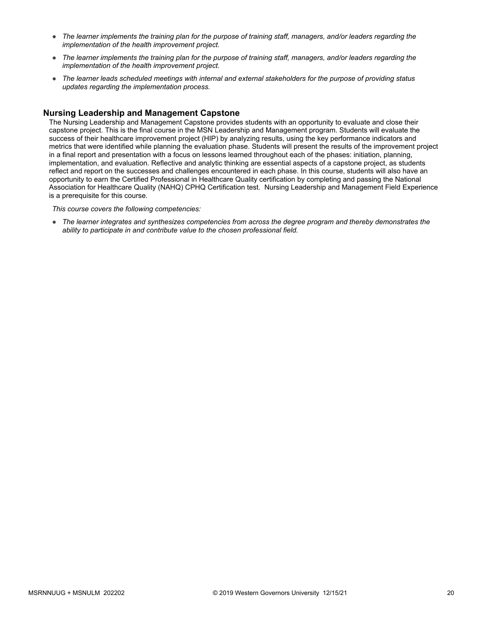- *The learner implements the training plan for the purpose of training staff, managers, and/or leaders regarding the implementation of the health improvement project.*
- *The learner implements the training plan for the purpose of training staff, managers, and/or leaders regarding the implementation of the health improvement project.*
- *The learner leads scheduled meetings with internal and external stakeholders for the purpose of providing status updates regarding the implementation process.*

## **Nursing Leadership and Management Capstone**

The Nursing Leadership and Management Capstone provides students with an opportunity to evaluate and close their capstone project. This is the final course in the MSN Leadership and Management program. Students will evaluate the success of their healthcare improvement project (HIP) by analyzing results, using the key performance indicators and metrics that were identified while planning the evaluation phase. Students will present the results of the improvement project in a final report and presentation with a focus on lessons learned throughout each of the phases: initiation, planning, implementation, and evaluation. Reflective and analytic thinking are essential aspects of a capstone project, as students reflect and report on the successes and challenges encountered in each phase. In this course, students will also have an opportunity to earn the Certified Professional in Healthcare Quality certification by completing and passing the National Association for Healthcare Quality (NAHQ) CPHQ Certification test. Nursing Leadership and Management Field Experience is a prerequisite for this course.

*This course covers the following competencies:*

● *The learner integrates and synthesizes competencies from across the degree program and thereby demonstrates the ability to participate in and contribute value to the chosen professional field.*